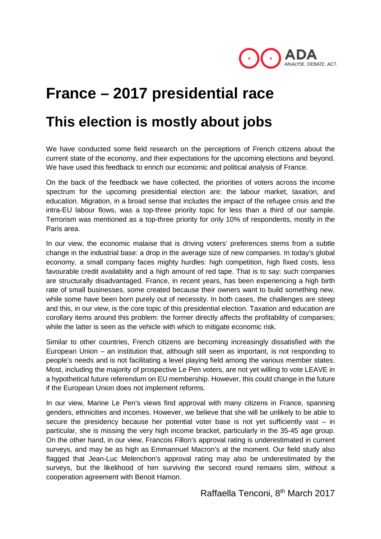

# **France – 2017 presidential race**

## **This election is mostly about jobs**

We have conducted some field research on the perceptions of French citizens about the current state of the economy, and their expectations for the upcoming elections and beyond. We have used this feedback to enrich our economic and political analysis of France.

On the back of the feedback we have collected, the priorities of voters across the income spectrum for the upcoming presidential election are: the labour market, taxation, and education*.* Migration, in a broad sense that includes the impact of the refugee crisis and the intra-EU labour flows, was a top-three priority topic for less than a third of our sample. Terrorism was mentioned as a top-three priority for only 10% of respondents, mostly in the Paris area.

In our view, the economic malaise that is driving voters' preferences stems from a subtle change in the industrial base: a drop in the average size of new companies. In today's global economy, a small company faces mighty hurdles: high competition, high fixed costs, less favourable credit availability and a high amount of red tape. That is to say: such companies are structurally disadvantaged. France, in recent years, has been experiencing a high birth rate of small businesses, some created because their owners want to build something new, while some have been born purely out of necessity. In both cases, the challenges are steep and this, in our view, is the core topic of this presidential election. Taxation and education are corollary items around this problem: the former directly affects the profitability of companies; while the latter is seen as the vehicle with which to mitigate economic risk.

Similar to other countries, French citizens are becoming increasingly dissatisfied with the European Union – an institution that, although still seen as important, is not responding to people's needs and is not facilitating a level playing field among the various member states. Most, including the majority of prospective Le Pen voters, are not yet willing to vote LEAVE in a hypothetical future referendum on EU membership. However, this could change in the future if the European Union does not implement reforms.

In our view, Marine Le Pen's views find approval with many citizens in France, spanning genders, ethnicities and incomes. However, we believe that she will be unlikely to be able to secure the presidency because her potential voter base is not yet sufficiently vast – in particular, she is missing the very high income bracket, particularly in the 35-45 age group. On the other hand, in our view, Francois Fillon's approval rating is underestimated in current surveys, and may be as high as Emmannuel Macron's at the moment. Our field study also flagged that Jean-Luc Melenchon's approval rating may also be underestimated by the surveys, but the likelihood of him surviving the second round remains slim, without a cooperation agreement with Benoit Hamon.

Raffaella Tenconi, 8<sup>th</sup> March 2017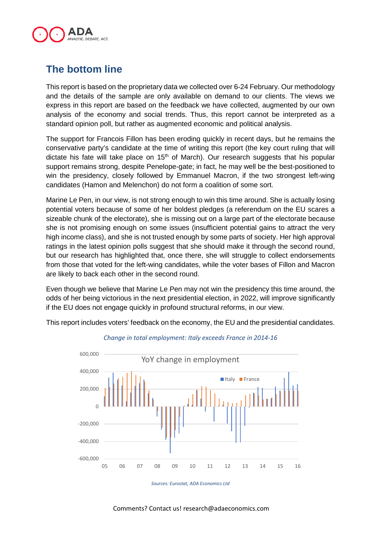

## **The bottom line**

This report is based on the proprietary data we collected over 6-24 February. Our methodology and the details of the sample are only available on demand to our clients. The views we express in this report are based on the feedback we have collected, augmented by our own analysis of the economy and social trends. Thus, this report cannot be interpreted as a standard opinion poll, but rather as augmented economic and political analysis.

The support for Francois Fillon has been eroding quickly in recent days, but he remains the conservative party's candidate at the time of writing this report (the key court ruling that will dictate his fate will take place on  $15<sup>th</sup>$  of March). Our research suggests that his popular support remains strong, despite Penelope-gate; in fact, he may well be the best-positioned to win the presidency, closely followed by Emmanuel Macron, if the two strongest left-wing candidates (Hamon and Melenchon) do not form a coalition of some sort.

Marine Le Pen, in our view, is not strong enough to win this time around. She is actually losing potential voters because of some of her boldest pledges (a referendum on the EU scares a sizeable chunk of the electorate), she is missing out on a large part of the electorate because she is not promising enough on some issues (insufficient potential gains to attract the very high income class), and she is not trusted enough by some parts of society. Her high approval ratings in the latest opinion polls suggest that she should make it through the second round, but our research has highlighted that, once there, she will struggle to collect endorsements from those that voted for the left-wing candidates, while the voter bases of Fillon and Macron are likely to back each other in the second round.

Even though we believe that Marine Le Pen may not win the presidency this time around, the odds of her being victorious in the next presidential election, in 2022, will improve significantly if the EU does not engage quickly in profound structural reforms, in our view.

This report includes voters' feedback on the economy, the EU and the presidential candidates.



*Change in total employment: Italy exceeds France in 2014-16*

*Sources: Eurostat, ADA Economics Ltd*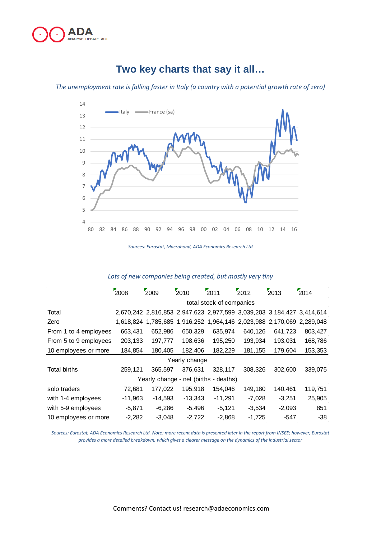

## **Two key charts that say it all…**

*The unemployment rate is falling faster in Italy (a country with a potential growth rate of zero)* 



*Sources: Eurostat, Macrobond, ADA Economics Research Ltd*

|                                       | 2008                     | 2009      | 2010      | 2011      | 2012     | 2013                                                                  | 2014    |  |  |
|---------------------------------------|--------------------------|-----------|-----------|-----------|----------|-----------------------------------------------------------------------|---------|--|--|
|                                       | total stock of companies |           |           |           |          |                                                                       |         |  |  |
| Total                                 |                          |           |           |           |          | 2,670,242 2,816,853 2,947,623 2,977,599 3,039,203 3,184,427 3,414,614 |         |  |  |
| Zero                                  | 1.618.824                |           |           |           |          | 1,785,685 1,916,252 1,964,146 2,023,988 2,170,069 2,289,048           |         |  |  |
| From 1 to 4 employees                 | 663,431                  | 652,986   | 650,329   | 635,974   | 640,126  | 641,723                                                               | 803,427 |  |  |
| From 5 to 9 employees                 | 203,133                  | 197,777   | 198,636   | 195,250   | 193,934  | 193,031                                                               | 168,786 |  |  |
| 10 employees or more                  | 184,854                  | 180,405   | 182,406   | 182,229   | 181,155  | 179,604                                                               | 153,353 |  |  |
| Yearly change                         |                          |           |           |           |          |                                                                       |         |  |  |
| Total births                          | 259,121                  | 365,597   | 376,631   | 328,117   | 308.326  | 302,600                                                               | 339,075 |  |  |
| Yearly change - net (births - deaths) |                          |           |           |           |          |                                                                       |         |  |  |
| solo traders                          | 72,681                   | 177,022   | 195,918   | 154,046   | 149,180  | 140,461                                                               | 119,751 |  |  |
| with 1-4 employees                    | $-11,963$                | $-14,593$ | $-13,343$ | $-11,291$ | $-7,028$ | $-3,251$                                                              | 25,905  |  |  |
| with 5-9 employees                    | $-5,871$                 | $-6,286$  | $-5,496$  | $-5,121$  | $-3,534$ | $-2,093$                                                              | 851     |  |  |
| 10 employees or more                  | $-2,282$                 | $-3,048$  | $-2,722$  | $-2,868$  | $-1,725$ | $-547$                                                                | $-38$   |  |  |

#### *Lots of new companies being created, but mostly very tiny*

*Sources: Eurostat, ADA Economics Research Ltd. Note: more recent data is presented later in the report from INSEE; however, Eurostat provides a more detailed breakdown, which gives a clearer message on the dynamics of the industrial sector*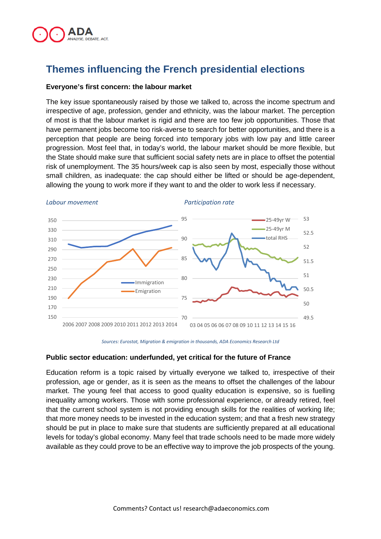

### **Themes influencing the French presidential elections**

#### **Everyone's first concern: the labour market**

The key issue spontaneously raised by those we talked to, across the income spectrum and irrespective of age, profession, gender and ethnicity, was the labour market. The perception of most is that the labour market is rigid and there are too few job opportunities. Those that have permanent jobs become too risk-averse to search for better opportunities, and there is a perception that people are being forced into temporary jobs with low pay and little career progression. Most feel that, in today's world, the labour market should be more flexible, but the State should make sure that sufficient social safety nets are in place to offset the potential risk of unemployment. The 35 hours/week cap is also seen by most, especially those without small children, as inadequate: the cap should either be lifted or should be age-dependent, allowing the young to work more if they want to and the older to work less if necessary.



*Sources: Eurostat, Migration & emigration in thousands, ADA Economics Research Ltd*

#### **Public sector education: underfunded, yet critical for the future of France**

Education reform is a topic raised by virtually everyone we talked to, irrespective of their profession, age or gender, as it is seen as the means to offset the challenges of the labour market. The young feel that access to good quality education is expensive, so is fuelling inequality among workers. Those with some professional experience, or already retired, feel that the current school system is not providing enough skills for the realities of working life; that more money needs to be invested in the education system; and that a fresh new strategy should be put in place to make sure that students are sufficiently prepared at all educational levels for today's global economy. Many feel that trade schools need to be made more widely available as they could prove to be an effective way to improve the job prospects of the young.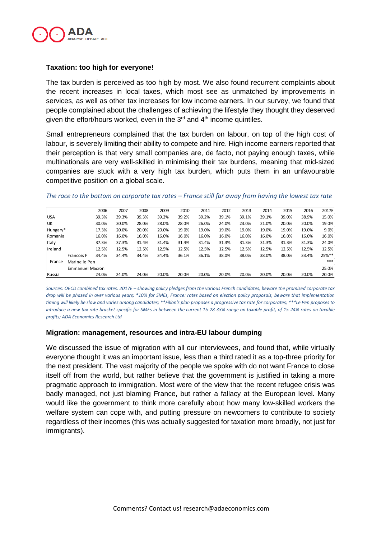

#### **Taxation: too high for everyone!**

The tax burden is perceived as too high by most. We also found recurrent complaints about the recent increases in local taxes, which most see as unmatched by improvements in services, as well as other tax increases for low income earners. In our survey, we found that people complained about the challenges of achieving the lifestyle they thought they deserved given the effort/hours worked, even in the  $3<sup>rd</sup>$  and  $4<sup>th</sup>$  income quintiles.

Small entrepreneurs complained that the tax burden on labour, on top of the high cost of labour, is severely limiting their ability to compete and hire. High income earners reported that their perception is that very small companies are, de facto, not paying enough taxes, while multinationals are very well-skilled in minimising their tax burdens, meaning that mid-sized companies are stuck with a very high tax burden, which puts them in an unfavourable competitive position on a global scale.

#### *The race to the bottom on corporate tax rates – France still far away from having the lowest tax rate*

|                 |                        | 2006  | 2007  | 2008  | 2009  | 2010  | 2011  | 2012  | 2013  | 2014  | 2015  | 2016  | 2017E |
|-----------------|------------------------|-------|-------|-------|-------|-------|-------|-------|-------|-------|-------|-------|-------|
| <b>USA</b>      |                        | 39.3% | 39.3% | 39.3% | 39.2% | 39.2% | 39.2% | 39.1% | 39.1% | 39.1% | 39.0% | 38.9% | 15.0% |
| <b>UK</b>       |                        | 30.0% | 30.0% | 28.0% | 28.0% | 28.0% | 26.0% | 24.0% | 23.0% | 21.0% | 20.0% | 20.0% | 19.0% |
| Hungary*        |                        | 17.3% | 20.0% | 20.0% | 20.0% | 19.0% | 19.0% | 19.0% | 19.0% | 19.0% | 19.0% | 19.0% | 9.0%  |
| Romania         |                        | 16.0% | 16.0% | 16.0% | 16.0% | 16.0% | 16.0% | 16.0% | 16.0% | 16.0% | 16.0% | 16.0% | 16.0% |
| Italy           |                        | 37.3% | 37.3% | 31.4% | 31.4% | 31.4% | 31.4% | 31.3% | 31.3% | 31.3% | 31.3% | 31.3% | 24.0% |
| <b>I</b> reland |                        | 12.5% | 12.5% | 12.5% | 12.5% | 12.5% | 12.5% | 12.5% | 12.5% | 12.5% | 12.5% | 12.5% | 12.5% |
|                 | Francois F             | 34.4% | 34.4% | 34.4% | 34.4% | 36.1% | 36.1% | 38.0% | 38.0% | 38.0% | 38.0% | 33.4% | 25%** |
| France          | Marine le Pen          |       |       |       |       |       |       |       |       |       |       |       | ***   |
|                 | <b>Emmanuel Macron</b> |       |       |       |       |       |       |       |       |       |       |       | 25.0% |
| Russia          |                        | 24.0% | 24.0% | 24.0% | 20.0% | 20.0% | 20.0% | 20.0% | 20.0% | 20.0% | 20.0% | 20.0% | 20.0% |

*Sources: OECD combined tax rates. 2017E – showing policy pledges from the various French candidates, beware the promised corporate tax drop will be phased in over various years; \*10% for SMEs, France: rates based on election policy proposals, beware that implementation timing will likely be slow and varies among candidates; \*\*Fillon's plan proposes a progressive tax rate for corporates; \*\*\*Le Pen proposes to introduce a new tax rate bracket specific for SMEs in between the current 15-28-33% range on taxable profit, of 15-24% rates on taxable profits; ADA Economics Research Ltd*

#### **Migration: management, resources and intra-EU labour dumping**

We discussed the issue of migration with all our interviewees, and found that, while virtually everyone thought it was an important issue, less than a third rated it as a top-three priority for the next president. The vast majority of the people we spoke with do not want France to close itself off from the world, but rather believe that the government is justified in taking a more pragmatic approach to immigration. Most were of the view that the recent refugee crisis was badly managed, not just blaming France, but rather a fallacy at the European level. Many would like the government to think more carefully about how many low-skilled workers the welfare system can cope with, and putting pressure on newcomers to contribute to society regardless of their incomes (this was actually suggested for taxation more broadly, not just for immigrants).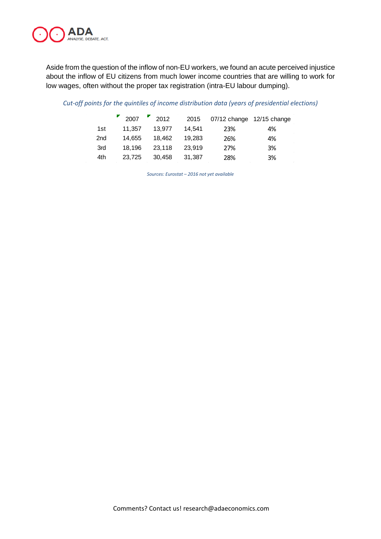

Aside from the question of the inflow of non-EU workers, we found an acute perceived injustice about the inflow of EU citizens from much lower income countries that are willing to work for low wages, often without the proper tax registration (intra-EU labour dumping).

#### *Cut-off points for the quintiles of income distribution data (years of presidential elections)*

|                 | 2007   | 2012   | 2015   | 07/12 change 12/15 change |    |
|-----------------|--------|--------|--------|---------------------------|----|
| 1st.            | 11.357 | 13.977 | 14.541 | 23%                       | 4% |
| 2 <sub>nd</sub> | 14.655 | 18,462 | 19.283 | 26%                       | 4% |
| 3rd             | 18.196 | 23.118 | 23.919 | 27%                       | 3% |
| 4th             | 23.725 | 30.458 | 31.387 | 28%                       | 3% |
|                 |        |        |        |                           |    |

*Sources: Eurostat – 2016 not yet available*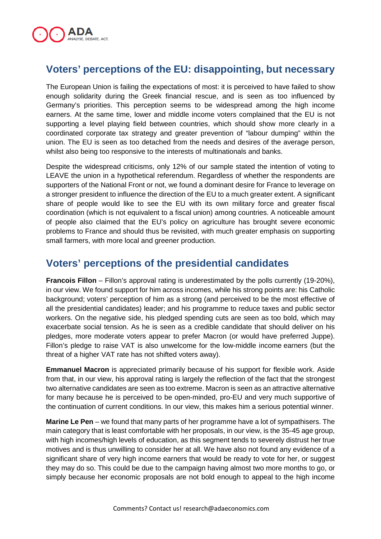

### **Voters' perceptions of the EU: disappointing, but necessary**

The European Union is failing the expectations of most: it is perceived to have failed to show enough solidarity during the Greek financial rescue, and is seen as too influenced by Germany's priorities. This perception seems to be widespread among the high income earners. At the same time, lower and middle income voters complained that the EU is not supporting a level playing field between countries, which should show more clearly in a coordinated corporate tax strategy and greater prevention of "labour dumping" within the union. The EU is seen as too detached from the needs and desires of the average person, whilst also being too responsive to the interests of multinationals and banks.

Despite the widespread criticisms, only 12% of our sample stated the intention of voting to LEAVE the union in a hypothetical referendum. Regardless of whether the respondents are supporters of the National Front or not, we found a dominant desire for France to leverage on a stronger president to influence the direction of the EU to a much greater extent. A significant share of people would like to see the EU with its own military force and greater fiscal coordination (which is not equivalent to a fiscal union) among countries. A noticeable amount of people also claimed that the EU's policy on agriculture has brought severe economic problems to France and should thus be revisited, with much greater emphasis on supporting small farmers, with more local and greener production.

### **Voters' perceptions of the presidential candidates**

**Francois Fillon** – Fillon's approval rating is underestimated by the polls currently (19-20%), in our view. We found support for him across incomes, while his strong points are: his Catholic background; voters' perception of him as a strong (and perceived to be the most effective of all the presidential candidates) leader; and his programme to reduce taxes and public sector workers. On the negative side, his pledged spending cuts are seen as too bold, which may exacerbate social tension. As he is seen as a credible candidate that should deliver on his pledges, more moderate voters appear to prefer Macron (or would have preferred Juppe). Fillon's pledge to raise VAT is also unwelcome for the low-middle income earners (but the threat of a higher VAT rate has not shifted voters away).

**Emmanuel Macron** is appreciated primarily because of his support for flexible work. Aside from that, in our view, his approval rating is largely the reflection of the fact that the strongest two alternative candidates are seen as too extreme. Macron is seen as an attractive alternative for many because he is perceived to be open-minded, pro-EU and very much supportive of the continuation of current conditions. In our view, this makes him a serious potential winner.

**Marine Le Pen** – we found that many parts of her programme have a lot of sympathisers. The main category that is least comfortable with her proposals, in our view, is the 35-45 age group, with high incomes/high levels of education, as this segment tends to severely distrust her true motives and is thus unwilling to consider her at all. We have also not found any evidence of a significant share of very high income earners that would be ready to vote for her, or suggest they may do so. This could be due to the campaign having almost two more months to go, or simply because her economic proposals are not bold enough to appeal to the high income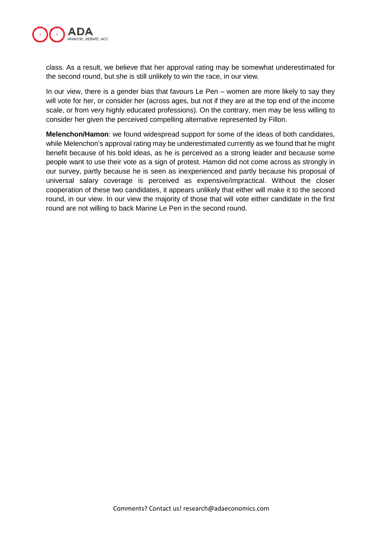

class. As a result, we believe that her approval rating may be somewhat underestimated for the second round, but she is still unlikely to win the race, in our view.

In our view, there is a gender bias that favours Le Pen – women are more likely to say they will vote for her, or consider her (across ages, but not if they are at the top end of the income scale, or from very highly educated professions). On the contrary, men may be less willing to consider her given the perceived compelling alternative represented by Fillon.

**Melenchon/Hamon**: we found widespread support for some of the ideas of both candidates, while Melenchon's approval rating may be underestimated currently as we found that he might benefit because of his bold ideas, as he is perceived as a strong leader and because some people want to use their vote as a sign of protest. Hamon did not come across as strongly in our survey, partly because he is seen as inexperienced and partly because his proposal of universal salary coverage is perceived as expensive/impractical. Without the closer cooperation of these two candidates, it appears unlikely that either will make it to the second round, in our view. In our view the majority of those that will vote either candidate in the first round are not willing to back Marine Le Pen in the second round.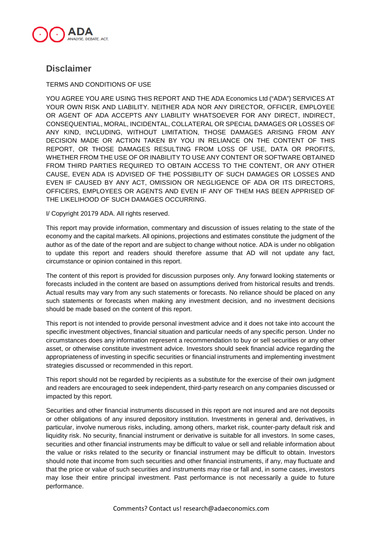

### **Disclaimer**

#### TERMS AND CONDITIONS OF USE

YOU AGREE YOU ARE USING THIS REPORT AND THE ADA Economics Ltd ("ADA") SERVICES AT YOUR OWN RISK AND LIABILITY. NEITHER ADA NOR ANY DIRECTOR, OFFICER, EMPLOYEE OR AGENT OF ADA ACCEPTS ANY LIABILITY WHATSOEVER FOR ANY DIRECT, INDIRECT, CONSEQUENTIAL, MORAL, INCIDENTAL, COLLATERAL OR SPECIAL DAMAGES OR LOSSES OF ANY KIND, INCLUDING, WITHOUT LIMITATION, THOSE DAMAGES ARISING FROM ANY DECISION MADE OR ACTION TAKEN BY YOU IN RELIANCE ON THE CONTENT OF THIS REPORT, OR THOSE DAMAGES RESULTING FROM LOSS OF USE, DATA OR PROFITS, WHETHER FROM THE USE OF OR INABILITY TO USE ANY CONTENT OR SOFTWARE OBTAINED FROM THIRD PARTIES REQUIRED TO OBTAIN ACCESS TO THE CONTENT, OR ANY OTHER CAUSE, EVEN ADA IS ADVISED OF THE POSSIBILITY OF SUCH DAMAGES OR LOSSES AND EVEN IF CAUSED BY ANY ACT, OMISSION OR NEGLIGENCE OF ADA OR ITS DIRECTORS, OFFICERS, EMPLOYEES OR AGENTS AND EVEN IF ANY OF THEM HAS BEEN APPRISED OF THE LIKELIHOOD OF SUCH DAMAGES OCCURRING.

#### I/ Copyright 20179 ADA. All rights reserved.

This report may provide information, commentary and discussion of issues relating to the state of the economy and the capital markets. All opinions, projections and estimates constitute the judgment of the author as of the date of the report and are subject to change without notice. ADA is under no obligation to update this report and readers should therefore assume that AD will not update any fact, circumstance or opinion contained in this report.

The content of this report is provided for discussion purposes only. Any forward looking statements or forecasts included in the content are based on assumptions derived from historical results and trends. Actual results may vary from any such statements or forecasts. No reliance should be placed on any such statements or forecasts when making any investment decision, and no investment decisions should be made based on the content of this report.

This report is not intended to provide personal investment advice and it does not take into account the specific investment objectives, financial situation and particular needs of any specific person. Under no circumstances does any information represent a recommendation to buy or sell securities or any other asset, or otherwise constitute investment advice. Investors should seek financial advice regarding the appropriateness of investing in specific securities or financial instruments and implementing investment strategies discussed or recommended in this report.

This report should not be regarded by recipients as a substitute for the exercise of their own judgment and readers are encouraged to seek independent, third-party research on any companies discussed or impacted by this report.

Securities and other financial instruments discussed in this report are not insured and are not deposits or other obligations of any insured depository institution. Investments in general and, derivatives, in particular, involve numerous risks, including, among others, market risk, counter-party default risk and liquidity risk. No security, financial instrument or derivative is suitable for all investors. In some cases, securities and other financial instruments may be difficult to value or sell and reliable information about the value or risks related to the security or financial instrument may be difficult to obtain. Investors should note that income from such securities and other financial instruments, if any, may fluctuate and that the price or value of such securities and instruments may rise or fall and, in some cases, investors may lose their entire principal investment. Past performance is not necessarily a guide to future performance.